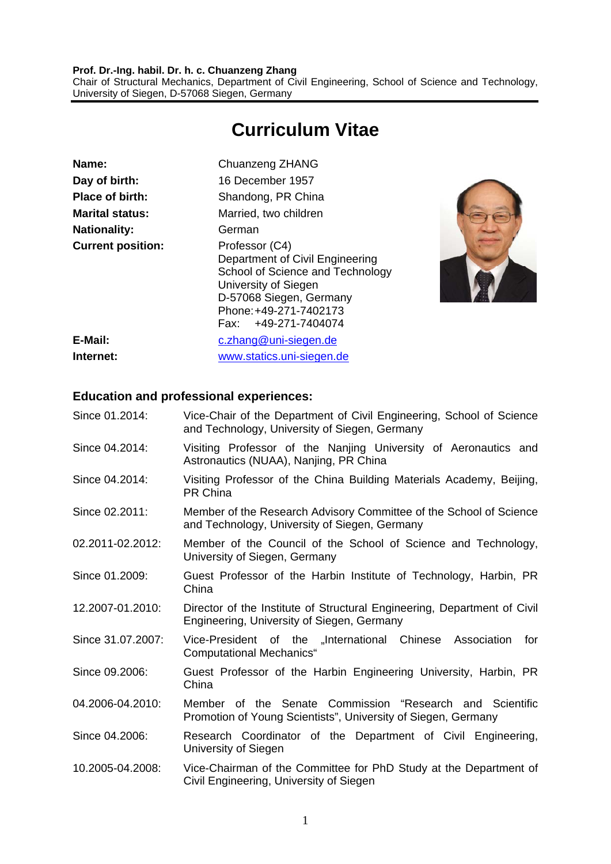#### **Prof. Dr.-Ing. habil. Dr. h. c. Chuanzeng Zhang**  Chair of Structural Mechanics, Department of Civil Engineering, School of Science and Technology, University of Siegen, D-57068 Siegen, Germany

# **Curriculum Vitae**

| Name:                    | Chuanzeng ZHANG                                                                                                                                                                            |  |
|--------------------------|--------------------------------------------------------------------------------------------------------------------------------------------------------------------------------------------|--|
| Day of birth:            | 16 December 1957                                                                                                                                                                           |  |
| <b>Place of birth:</b>   | Shandong, PR China                                                                                                                                                                         |  |
| <b>Marital status:</b>   | Married, two children                                                                                                                                                                      |  |
| <b>Nationality:</b>      | German                                                                                                                                                                                     |  |
| <b>Current position:</b> | Professor (C4)<br>Department of Civil Engineering<br>School of Science and Technology<br>University of Siegen<br>D-57068 Siegen, Germany<br>Phone: +49-271-7402173<br>Fax: +49-271-7404074 |  |
| E-Mail:                  | c.zhang@uni-siegen.de                                                                                                                                                                      |  |
| Internet:                | www.statics.uni-siegen.de                                                                                                                                                                  |  |



#### **Education and professional experiences:**

| Since 01.2014:    | Vice-Chair of the Department of Civil Engineering, School of Science<br>and Technology, University of Siegen, Germany     |
|-------------------|---------------------------------------------------------------------------------------------------------------------------|
| Since 04.2014:    | Visiting Professor of the Nanjing University of Aeronautics and<br>Astronautics (NUAA), Nanjing, PR China                 |
| Since 04.2014:    | Visiting Professor of the China Building Materials Academy, Beijing,<br>PR China                                          |
| Since 02.2011:    | Member of the Research Advisory Committee of the School of Science<br>and Technology, University of Siegen, Germany       |
| 02.2011-02.2012:  | Member of the Council of the School of Science and Technology,<br>University of Siegen, Germany                           |
| Since 01.2009:    | Guest Professor of the Harbin Institute of Technology, Harbin, PR<br>China                                                |
| 12.2007-01.2010:  | Director of the Institute of Structural Engineering, Department of Civil<br>Engineering, University of Siegen, Germany    |
| Since 31.07.2007: | Vice-President of the "International Chinese Association<br>for<br><b>Computational Mechanics</b> "                       |
| Since 09.2006:    | Guest Professor of the Harbin Engineering University, Harbin, PR<br>China                                                 |
| 04.2006-04.2010:  | Member of the Senate Commission "Research and Scientific<br>Promotion of Young Scientists", University of Siegen, Germany |
| Since 04.2006:    | Research Coordinator of the Department of Civil Engineering,<br>University of Siegen                                      |
| 10.2005-04.2008:  | Vice-Chairman of the Committee for PhD Study at the Department of<br>Civil Engineering, University of Siegen              |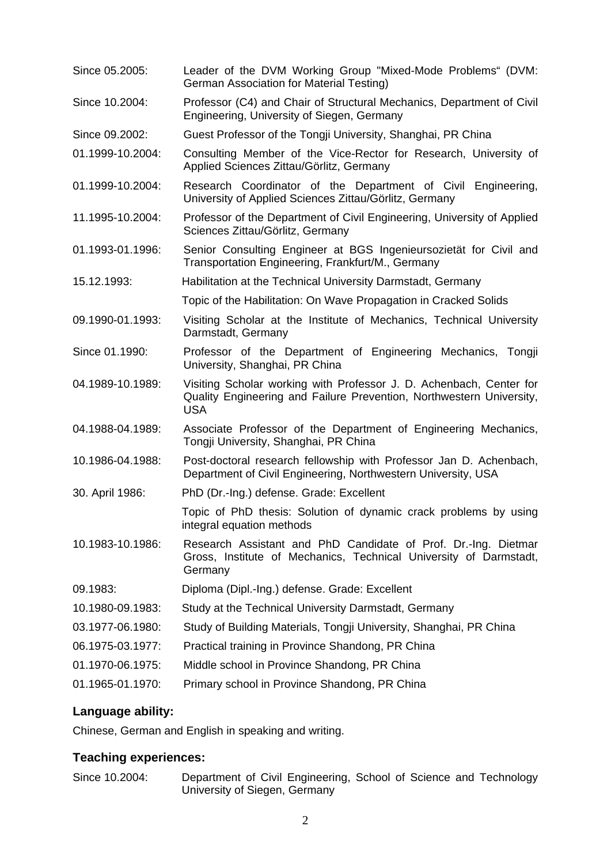| Since 05.2005:   | Leader of the DVM Working Group "Mixed-Mode Problems" (DVM:<br>German Association for Material Testing)                                                   |
|------------------|-----------------------------------------------------------------------------------------------------------------------------------------------------------|
| Since 10.2004:   | Professor (C4) and Chair of Structural Mechanics, Department of Civil<br>Engineering, University of Siegen, Germany                                       |
| Since 09.2002:   | Guest Professor of the Tongji University, Shanghai, PR China                                                                                              |
| 01.1999-10.2004: | Consulting Member of the Vice-Rector for Research, University of<br>Applied Sciences Zittau/Görlitz, Germany                                              |
| 01.1999-10.2004: | Research Coordinator of the Department of Civil Engineering,<br>University of Applied Sciences Zittau/Görlitz, Germany                                    |
| 11.1995-10.2004: | Professor of the Department of Civil Engineering, University of Applied<br>Sciences Zittau/Görlitz, Germany                                               |
| 01.1993-01.1996: | Senior Consulting Engineer at BGS Ingenieursozietät for Civil and<br>Transportation Engineering, Frankfurt/M., Germany                                    |
| 15.12.1993:      | Habilitation at the Technical University Darmstadt, Germany                                                                                               |
|                  | Topic of the Habilitation: On Wave Propagation in Cracked Solids                                                                                          |
| 09.1990-01.1993: | Visiting Scholar at the Institute of Mechanics, Technical University<br>Darmstadt, Germany                                                                |
| Since 01.1990:   | Professor of the Department of Engineering Mechanics, Tongji<br>University, Shanghai, PR China                                                            |
| 04.1989-10.1989: | Visiting Scholar working with Professor J. D. Achenbach, Center for<br>Quality Engineering and Failure Prevention, Northwestern University,<br><b>USA</b> |
| 04.1988-04.1989: | Associate Professor of the Department of Engineering Mechanics,<br>Tongji University, Shanghai, PR China                                                  |
| 10.1986-04.1988: | Post-doctoral research fellowship with Professor Jan D. Achenbach,<br>Department of Civil Engineering, Northwestern University, USA                       |
| 30. April 1986:  | PhD (Dr.-Ing.) defense. Grade: Excellent                                                                                                                  |
|                  | Topic of PhD thesis: Solution of dynamic crack problems by using<br>integral equation methods                                                             |
| 10.1983-10.1986: | Research Assistant and PhD Candidate of Prof. Dr.-Ing. Dietmar<br>Gross, Institute of Mechanics, Technical University of Darmstadt,<br>Germany            |
| 09.1983:         | Diploma (Dipl.-Ing.) defense. Grade: Excellent                                                                                                            |
| 10.1980-09.1983: | Study at the Technical University Darmstadt, Germany                                                                                                      |
| 03.1977-06.1980: | Study of Building Materials, Tongji University, Shanghai, PR China                                                                                        |
| 06.1975-03.1977: | Practical training in Province Shandong, PR China                                                                                                         |
| 01.1970-06.1975: | Middle school in Province Shandong, PR China                                                                                                              |
| 01.1965-01.1970: | Primary school in Province Shandong, PR China                                                                                                             |

### **Language ability:**

Chinese, German and English in speaking and writing.

#### **Teaching experiences:**

Since 10.2004: Department of Civil Engineering, School of Science and Technology University of Siegen, Germany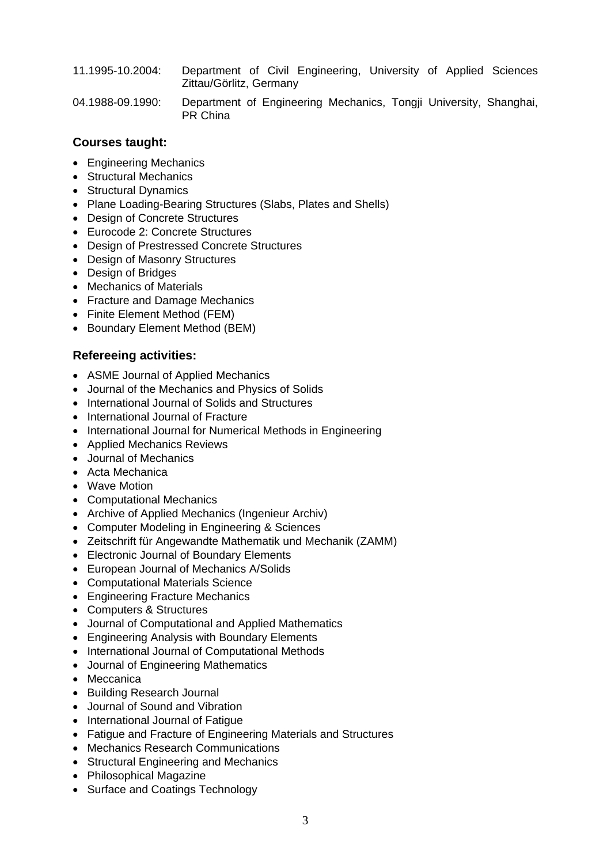- 11.1995-10.2004: Department of Civil Engineering, University of Applied Sciences Zittau/Görlitz, Germany
- 04.1988-09.1990: Department of Engineering Mechanics, Tongji University, Shanghai, PR China

#### **Courses taught:**

- Engineering Mechanics
- Structural Mechanics
- Structural Dynamics
- Plane Loading-Bearing Structures (Slabs, Plates and Shells)
- Design of Concrete Structures
- Eurocode 2: Concrete Structures
- Design of Prestressed Concrete Structures
- Design of Masonry Structures
- Design of Bridges
- Mechanics of Materials
- Fracture and Damage Mechanics
- Finite Element Method (FEM)
- Boundary Element Method (BEM)

#### **Refereeing activities:**

- ASME Journal of Applied Mechanics
- Journal of the Mechanics and Physics of Solids
- International Journal of Solids and Structures
- International Journal of Fracture
- International Journal for Numerical Methods in Engineering
- Applied Mechanics Reviews
- Journal of Mechanics
- Acta Mechanica
- Wave Motion
- Computational Mechanics
- Archive of Applied Mechanics (Ingenieur Archiv)
- Computer Modeling in Engineering & Sciences
- Zeitschrift für Angewandte Mathematik und Mechanik (ZAMM)
- Electronic Journal of Boundary Elements
- European Journal of Mechanics A/Solids
- Computational Materials Science
- Engineering Fracture Mechanics
- Computers & Structures
- Journal of Computational and Applied Mathematics
- Engineering Analysis with Boundary Elements
- International Journal of Computational Methods
- Journal of Engineering Mathematics
- Meccanica
- Building Research Journal
- Journal of Sound and Vibration
- International Journal of Fatigue
- Fatigue and Fracture of Engineering Materials and Structures
- Mechanics Research Communications
- Structural Engineering and Mechanics
- Philosophical Magazine
- Surface and Coatings Technology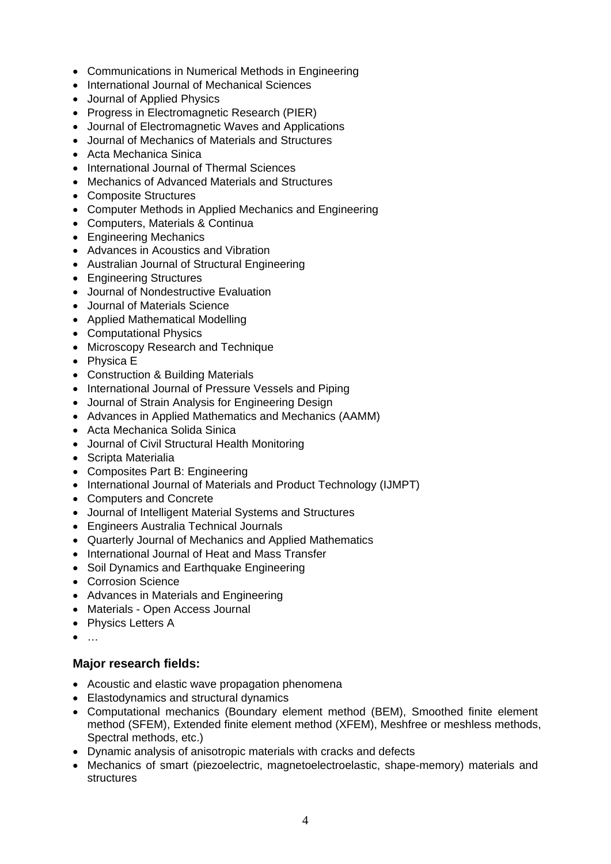- Communications in Numerical Methods in Engineering
- International Journal of Mechanical Sciences
- Journal of Applied Physics
- Progress in Electromagnetic Research (PIER)
- Journal of Electromagnetic Waves and Applications
- Journal of Mechanics of Materials and Structures
- Acta Mechanica Sinica
- International Journal of Thermal Sciences
- Mechanics of Advanced Materials and Structures
- Composite Structures
- Computer Methods in Applied Mechanics and Engineering
- Computers, Materials & Continua
- Engineering Mechanics
- Advances in Acoustics and Vibration
- Australian Journal of Structural Engineering
- Engineering Structures
- Journal of Nondestructive Evaluation
- Journal of Materials Science
- Applied Mathematical Modelling
- Computational Physics
- Microscopy Research and Technique
- Physica E
- Construction & Building Materials
- International Journal of Pressure Vessels and Piping
- Journal of Strain Analysis for Engineering Design
- Advances in Applied Mathematics and Mechanics (AAMM)
- Acta Mechanica Solida Sinica
- Journal of Civil Structural Health Monitoring
- Scripta Materialia
- Composites Part B: Engineering
- International Journal of Materials and Product Technology (IJMPT)
- Computers and Concrete
- Journal of Intelligent Material Systems and Structures
- Engineers Australia Technical Journals
- Quarterly Journal of Mechanics and Applied Mathematics
- International Journal of Heat and Mass Transfer
- Soil Dynamics and Earthquake Engineering
- Corrosion Science
- Advances in Materials and Engineering
- Materials Open Access Journal
- Physics Letters A
- $\bullet$  ...

#### **Major research fields:**

- Acoustic and elastic wave propagation phenomena
- Elastodynamics and structural dynamics
- Computational mechanics (Boundary element method (BEM), Smoothed finite element method (SFEM), Extended finite element method (XFEM), Meshfree or meshless methods, Spectral methods, etc.)
- Dynamic analysis of anisotropic materials with cracks and defects
- Mechanics of smart (piezoelectric, magnetoelectroelastic, shape-memory) materials and **structures**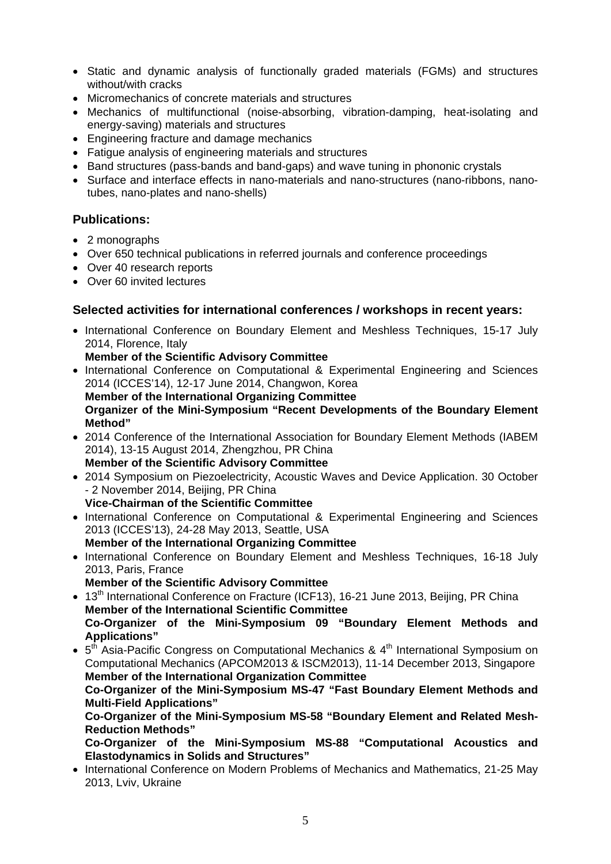- Static and dynamic analysis of functionally graded materials (FGMs) and structures without/with cracks
- Micromechanics of concrete materials and structures
- Mechanics of multifunctional (noise-absorbing, vibration-damping, heat-isolating and energy-saving) materials and structures
- Engineering fracture and damage mechanics
- Fatigue analysis of engineering materials and structures
- Band structures (pass-bands and band-gaps) and wave tuning in phononic crystals
- Surface and interface effects in nano-materials and nano-structures (nano-ribbons, nanotubes, nano-plates and nano-shells)

#### **Publications:**

- 2 monographs
- Over 650 technical publications in referred journals and conference proceedings
- Over 40 research reports
- Over 60 invited lectures

#### **Selected activities for international conferences / workshops in recent years:**

• International Conference on Boundary Element and Meshless Techniques, 15-17 July 2014, Florence, Italy

#### **Member of the Scientific Advisory Committee**

• International Conference on Computational & Experimental Engineering and Sciences 2014 (ICCES'14), 12-17 June 2014, Changwon, Korea

 **Member of the International Organizing Committee Organizer of the Mini-Symposium "Recent Developments of the Boundary Element Method"** 

- 2014 Conference of the International Association for Boundary Element Methods (IABEM 2014), 13-15 August 2014, Zhengzhou, PR China **Member of the Scientific Advisory Committee**
- 2014 Symposium on Piezoelectricity, Acoustic Waves and Device Application. 30 October - 2 November 2014, Beijing, PR China

**Vice-Chairman of the Scientific Committee** 

- International Conference on Computational & Experimental Engineering and Sciences 2013 (ICCES'13), 24-28 May 2013, Seattle, USA  **Member of the International Organizing Committee**
- International Conference on Boundary Element and Meshless Techniques, 16-18 July 2013, Paris, France
	- **Member of the Scientific Advisory Committee**

• 13<sup>th</sup> International Conference on Fracture (ICF13), 16-21 June 2013, Beijing, PR China  **Member of the International Scientific Committee Co-Organizer of the Mini-Symposium 09 "Boundary Element Methods and Applications"** 

 $\bullet$  5<sup>th</sup> Asia-Pacific Congress on Computational Mechanics & 4<sup>th</sup> International Symposium on Computational Mechanics (APCOM2013 & ISCM2013), 11-14 December 2013, Singapore  **Member of the International Organization Committee** 

**Co-Organizer of the Mini-Symposium MS-47 "Fast Boundary Element Methods and Multi-Field Applications"** 

**Co-Organizer of the Mini-Symposium MS-58 "Boundary Element and Related Mesh-Reduction Methods"** 

**Co-Organizer of the Mini-Symposium MS-88 "Computational Acoustics and Elastodynamics in Solids and Structures"** 

• International Conference on Modern Problems of Mechanics and Mathematics, 21-25 May 2013, Lviv, Ukraine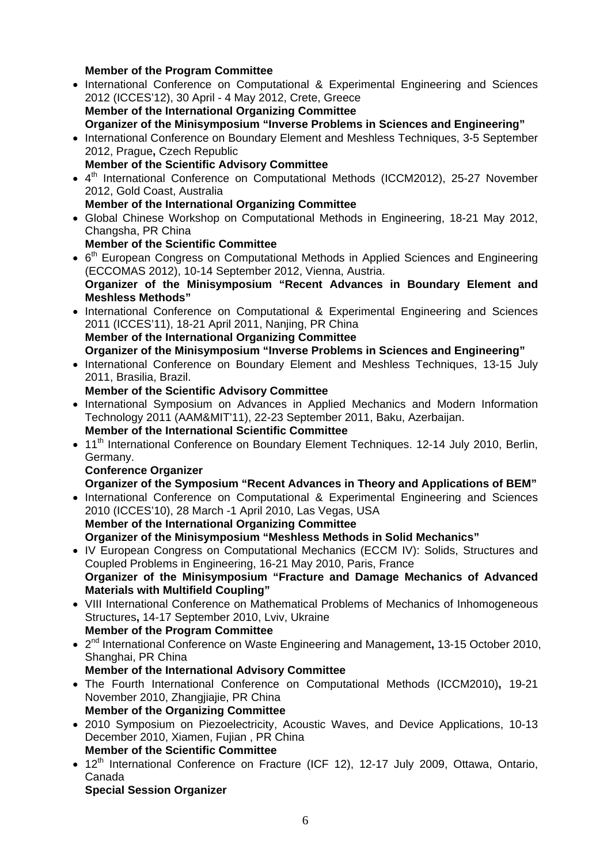#### **Member of the Program Committee**

- International Conference on Computational & Experimental Engineering and Sciences 2012 (ICCES'12), 30 April - 4 May 2012, Crete, Greece  **Member of the International Organizing Committee Organizer of the Minisymposium "Inverse Problems in Sciences and Engineering"**
- International Conference on Boundary Element and Meshless Techniques, 3-5 September 2012, Prague**,** Czech Republic  **Member of the Scientific Advisory Committee**
- 4<sup>th</sup> International Conference on Computational Methods (ICCM2012), 25-27 November 2012, Gold Coast, Australia

#### **Member of the International Organizing Committee**

 Global Chinese Workshop on Computational Methods in Engineering, 18-21 May 2012, Changsha, PR China

#### **Member of the Scientific Committee**

- 6<sup>th</sup> European Congress on Computational Methods in Applied Sciences and Engineering (ECCOMAS 2012), 10-14 September 2012, Vienna, Austria. **Organizer of the Minisymposium "Recent Advances in Boundary Element and Meshless Methods"**
- International Conference on Computational & Experimental Engineering and Sciences 2011 (ICCES'11), 18-21 April 2011, Nanjing, PR China  **Member of the International Organizing Committee**

 **Organizer of the Minisymposium "Inverse Problems in Sciences and Engineering"** 

• International Conference on Boundary Element and Meshless Techniques, 13-15 July 2011, Brasilia, Brazil.

#### **Member of the Scientific Advisory Committee**

- International Symposium on Advances in Applied Mechanics and Modern Information Technology 2011 (AAM&MIT'11), 22-23 September 2011, Baku, Azerbaijan.  **Member of the International Scientific Committee**
- 11<sup>th</sup> International Conference on Boundary Element Techniques. 12-14 July 2010, Berlin, Germany.

#### **Conference Organizer**

#### **Organizer of the Symposium "Recent Advances in Theory and Applications of BEM"**

• International Conference on Computational & Experimental Engineering and Sciences 2010 (ICCES'10), 28 March -1 April 2010, Las Vegas, USA  **Member of the International Organizing Committee** 

 **Organizer of the Minisymposium "Meshless Methods in Solid Mechanics"** 

- IV European Congress on Computational Mechanics (ECCM IV): Solids, Structures and Coupled Problems in Engineering, 16-21 May 2010, Paris, France  **Organizer of the Minisymposium "Fracture and Damage Mechanics of Advanced Materials with Multifield Coupling"**
- VIII International Conference on Mathematical Problems of Mechanics of Inhomogeneous Structures**,** 14-17 September 2010, Lviv, Ukraine

#### **Member of the Program Committee**

- 2nd International Conference on Waste Engineering and Management**,** 13-15 October 2010, Shanghai, PR China
	- **Member of the International Advisory Committee**
- The Fourth International Conference on Computational Methods (ICCM2010)**,** 19-21 November 2010, Zhangjiajie, PR China

## **Member of the Organizing Committee**

- 2010 Symposium on Piezoelectricity, Acoustic Waves, and Device Applications, 10-13 December 2010, Xiamen, Fujian , PR China  **Member of the Scientific Committee**
- 12<sup>th</sup> International Conference on Fracture (ICF 12), 12-17 July 2009, Ottawa, Ontario, Canada

#### **Special Session Organizer**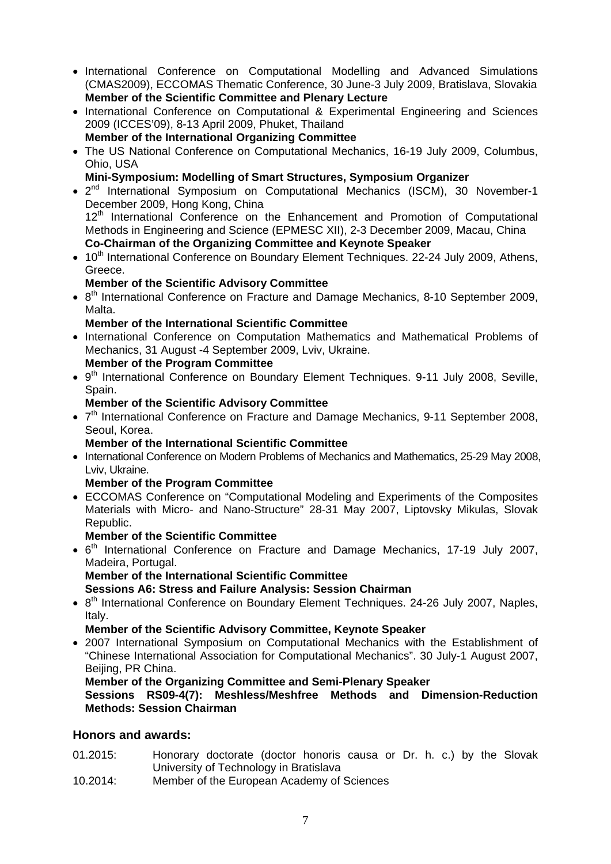- International Conference on Computational Modelling and Advanced Simulations (CMAS2009), ECCOMAS Thematic Conference, 30 June-3 July 2009, Bratislava, Slovakia  **Member of the Scientific Committee and Plenary Lecture**
- International Conference on Computational & Experimental Engineering and Sciences 2009 (ICCES'09), 8-13 April 2009, Phuket, Thailand

 **Member of the International Organizing Committee** 

- The US National Conference on Computational Mechanics, 16-19 July 2009, Columbus, Ohio, USA
	- **Mini-Symposium: Modelling of Smart Structures, Symposium Organizer**
- 2<sup>nd</sup> International Symposium on Computational Mechanics (ISCM), 30 November-1 December 2009, Hong Kong, China 12<sup>th</sup> International Conference on the Enhancement and Promotion of Computational Methods in Engineering and Science (EPMESC XII), 2-3 December 2009, Macau, China  **Co-Chairman of the Organizing Committee and Keynote Speaker**
- 10<sup>th</sup> International Conference on Boundary Element Techniques. 22-24 July 2009, Athens, Greece.

#### **Member of the Scientific Advisory Committee**

• 8<sup>th</sup> International Conference on Fracture and Damage Mechanics, 8-10 September 2009, Malta.

#### **Member of the International Scientific Committee**

 International Conference on Computation Mathematics and Mathematical Problems of Mechanics, 31 August -4 September 2009, Lviv, Ukraine.

#### **Member of the Program Committee**

• 9<sup>th</sup> International Conference on Boundary Element Techniques. 9-11 July 2008, Seville, Spain.

#### **Member of the Scientific Advisory Committee**

• 7<sup>th</sup> International Conference on Fracture and Damage Mechanics, 9-11 September 2008, Seoul, Korea.

#### **Member of the International Scientific Committee**

• International Conference on Modern Problems of Mechanics and Mathematics, 25-29 May 2008, Lviv, Ukraine.

#### **Member of the Program Committee**

 ECCOMAS Conference on "Computational Modeling and Experiments of the Composites Materials with Micro- and Nano-Structure" 28-31 May 2007, Liptovsky Mikulas, Slovak Republic.

#### **Member of the Scientific Committee**

• 6<sup>th</sup> International Conference on Fracture and Damage Mechanics, 17-19 July 2007, Madeira, Portugal.

#### **Member of the International Scientific Committee**

#### **Sessions A6: Stress and Failure Analysis: Session Chairman**

• 8<sup>th</sup> International Conference on Boundary Element Techniques. 24-26 July 2007, Naples, Italy.

#### **Member of the Scientific Advisory Committee, Keynote Speaker**

 2007 International Symposium on Computational Mechanics with the Establishment of "Chinese International Association for Computational Mechanics". 30 July-1 August 2007, Beijing, PR China.

#### **Member of the Organizing Committee and Semi-Plenary Speaker**

#### **Sessions RS09-4(7): Meshless/Meshfree Methods and Dimension-Reduction Methods: Session Chairman**

#### **Honors and awards:**

- 01.2015: Honorary doctorate (doctor honoris causa or Dr. h. c.) by the Slovak University of Technology in Bratislava
- 10.2014: Member of the European Academy of Sciences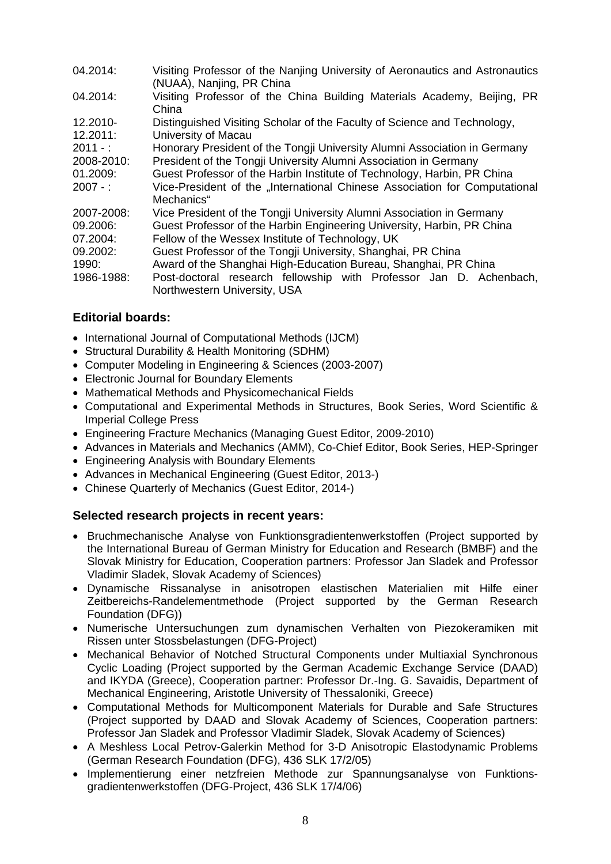| 04.2014:   | Visiting Professor of the Nanjing University of Aeronautics and Astronautics<br>(NUAA), Nanjing, PR China |
|------------|-----------------------------------------------------------------------------------------------------------|
| 04.2014:   | Visiting Professor of the China Building Materials Academy, Beijing, PR<br>China                          |
| 12.2010-   | Distinguished Visiting Scholar of the Faculty of Science and Technology,                                  |
| 12.2011:   | University of Macau                                                                                       |
| $2011 -$ : | Honorary President of the Tongji University Alumni Association in Germany                                 |
| 2008-2010: | President of the Tongji University Alumni Association in Germany                                          |
| 01.2009:   | Guest Professor of the Harbin Institute of Technology, Harbin, PR China                                   |
| $2007 - 1$ | Vice-President of the "International Chinese Association for Computational                                |
|            | Mechanics"                                                                                                |
| 2007-2008: | Vice President of the Tongji University Alumni Association in Germany                                     |
| 09.2006:   | Guest Professor of the Harbin Engineering University, Harbin, PR China                                    |
| 07.2004:   | Fellow of the Wessex Institute of Technology, UK                                                          |
| 09.2002:   | Guest Professor of the Tongji University, Shanghai, PR China                                              |
| 1990:      | Award of the Shanghai High-Education Bureau, Shanghai, PR China                                           |
| 1986-1988: | Post-doctoral research fellowship with Professor Jan D. Achenbach,                                        |
|            | Northwestern University, USA                                                                              |

#### **Editorial boards:**

- International Journal of Computational Methods (IJCM)
- Structural Durability & Health Monitoring (SDHM)
- Computer Modeling in Engineering & Sciences (2003-2007)
- Electronic Journal for Boundary Elements
- Mathematical Methods and Physicomechanical Fields
- Computational and Experimental Methods in Structures, Book Series, Word Scientific & Imperial College Press
- Engineering Fracture Mechanics (Managing Guest Editor, 2009-2010)
- Advances in Materials and Mechanics (AMM), Co-Chief Editor, Book Series, HEP-Springer
- Engineering Analysis with Boundary Elements
- Advances in Mechanical Engineering (Guest Editor, 2013-)
- Chinese Quarterly of Mechanics (Guest Editor, 2014-)

#### **Selected research projects in recent years:**

- Bruchmechanische Analyse von Funktionsgradientenwerkstoffen (Project supported by the International Bureau of German Ministry for Education and Research (BMBF) and the Slovak Ministry for Education, Cooperation partners: Professor Jan Sladek and Professor Vladimir Sladek, Slovak Academy of Sciences)
- Dynamische Rissanalyse in anisotropen elastischen Materialien mit Hilfe einer Zeitbereichs-Randelementmethode (Project supported by the German Research Foundation (DFG))
- Numerische Untersuchungen zum dynamischen Verhalten von Piezokeramiken mit Rissen unter Stossbelastungen (DFG-Project)
- Mechanical Behavior of Notched Structural Components under Multiaxial Synchronous Cyclic Loading (Project supported by the German Academic Exchange Service (DAAD) and IKYDA (Greece), Cooperation partner: Professor Dr.-Ing. G. Savaidis, Department of Mechanical Engineering, Aristotle University of Thessaloniki, Greece)
- Computational Methods for Multicomponent Materials for Durable and Safe Structures (Project supported by DAAD and Slovak Academy of Sciences, Cooperation partners: Professor Jan Sladek and Professor Vladimir Sladek, Slovak Academy of Sciences)
- A Meshless Local Petrov-Galerkin Method for 3-D Anisotropic Elastodynamic Problems (German Research Foundation (DFG), 436 SLK 17/2/05)
- Implementierung einer netzfreien Methode zur Spannungsanalyse von Funktionsgradientenwerkstoffen (DFG-Project, 436 SLK 17/4/06)